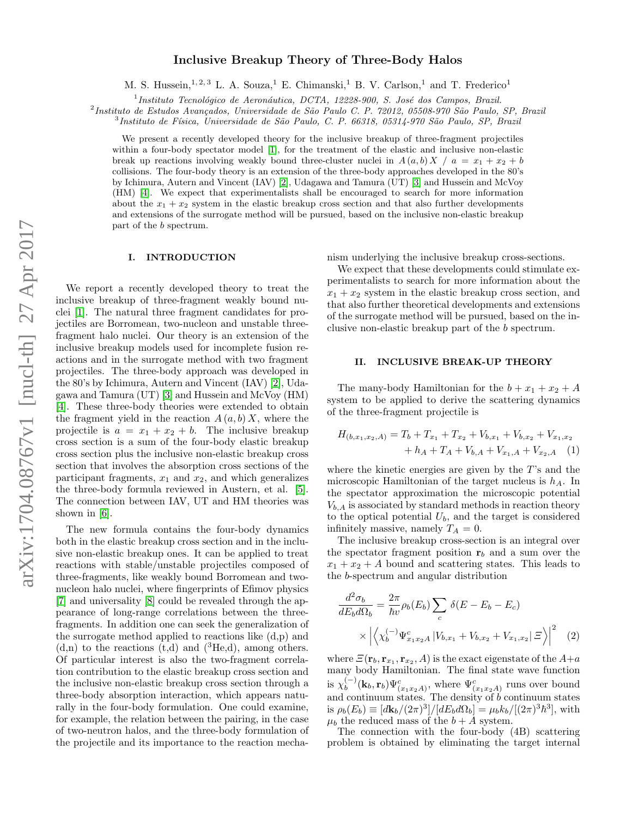# arXiv:1704.08767v1 [nucl-th] 27 Apr 2017 arXiv:1704.08767v1 [nucl-th] 27 Apr 2017

# Inclusive Breakup Theory of Three-Body Halos

M. S. Hussein,  $1, 2, 3$  L. A. Souza, <sup>1</sup> E. Chimanski, <sup>1</sup> B. V. Carlson, <sup>1</sup> and T. Frederico<sup>1</sup>

<sup>1</sup>Instituto Tecnológico de Aeronáutica, DCTA, 12228-900, S. José dos Campos, Brazil.

<sup>2</sup>Instituto de Estudos Avançados, Universidade de São Paulo C. P. 72012, 05508-970 São Paulo, SP, Brazil

<sup>3</sup>Instituto de Física, Universidade de São Paulo, C. P. 66318, 05314-970 São Paulo, SP, Brazil

We present a recently developed theory for the inclusive breakup of three-fragment projectiles within a four-body spectator model [\[1\]](#page-6-0), for the treatment of the elastic and inclusive non-elastic break up reactions involving weakly bound three-cluster nuclei in  $A(a, b) X / a = x_1 + x_2 + b$ collisions. The four-body theory is an extension of the three-body approaches developed in the 80's by Ichimura, Autern and Vincent (IAV) [\[2\]](#page-6-1), Udagawa and Tamura (UT) [\[3\]](#page-6-2) and Hussein and McVoy (HM) [\[4\]](#page-6-3). We expect that experimentalists shall be encouraged to search for more information about the  $x_1 + x_2$  system in the elastic breakup cross section and that also further developments and extensions of the surrogate method will be pursued, based on the inclusive non-elastic breakup part of the b spectrum.

## I. INTRODUCTION

We report a recently developed theory to treat the inclusive breakup of three-fragment weakly bound nuclei [\[1\]](#page-6-0). The natural three fragment candidates for projectiles are Borromean, two-nucleon and unstable threefragment halo nuclei. Our theory is an extension of the inclusive breakup models used for incomplete fusion reactions and in the surrogate method with two fragment projectiles. The three-body approach was developed in the 80's by Ichimura, Autern and Vincent (IAV) [\[2\]](#page-6-1), Udagawa and Tamura (UT) [\[3\]](#page-6-2) and Hussein and McVoy (HM) [\[4\]](#page-6-3). These three-body theories were extended to obtain the fragment yield in the reaction  $A(a, b)X$ , where the projectile is  $a = x_1 + x_2 + b$ . The inclusive breakup cross section is a sum of the four-body elastic breakup cross section plus the inclusive non-elastic breakup cross section that involves the absorption cross sections of the participant fragments,  $x_1$  and  $x_2$ , and which generalizes the three-body formula reviewed in Austern, et al. [\[5\]](#page-6-4). The connection between IAV, UT and HM theories was shown in [\[6\]](#page-6-5).

The new formula contains the four-body dynamics both in the elastic breakup cross section and in the inclusive non-elastic breakup ones. It can be applied to treat reactions with stable/unstable projectiles composed of three-fragments, like weakly bound Borromean and twonucleon halo nuclei, where fingerprints of Efimov physics [\[7\]](#page-6-6) and universality [\[8\]](#page-6-7) could be revealed through the appearance of long-range correlations between the threefragments. In addition one can seek the generalization of the surrogate method applied to reactions like (d,p) and  $(d,n)$  to the reactions  $(t,d)$  and  $({}^{3}\text{He},d)$ , among others. Of particular interest is also the two-fragment correlation contribution to the elastic breakup cross section and the inclusive non-elastic breakup cross section through a three-body absorption interaction, which appears naturally in the four-body formulation. One could examine, for example, the relation between the pairing, in the case of two-neutron halos, and the three-body formulation of the projectile and its importance to the reaction mechanism underlying the inclusive breakup cross-sections.

We expect that these developments could stimulate experimentalists to search for more information about the  $x_1 + x_2$  system in the elastic breakup cross section, and that also further theoretical developments and extensions of the surrogate method will be pursued, based on the inclusive non-elastic breakup part of the b spectrum.

## II. INCLUSIVE BREAK-UP THEORY

The many-body Hamiltonian for the  $b + x_1 + x_2 + A$ system to be applied to derive the scattering dynamics of the three-fragment projectile is

$$
H_{(b,x_1,x_2,A)} = T_b + T_{x_1} + T_{x_2} + V_{b,x_1} + V_{b,x_2} + V_{x_1,x_2}
$$
  
+  $h_A + T_A + V_{b,A} + V_{x_1,A} + V_{x_2,A}$  (1)

where the kinetic energies are given by the T's and the microscopic Hamiltonian of the target nucleus is  $h_A$ . In the spectator approximation the microscopic potential  $V_{b,A}$  is associated by standard methods in reaction theory to the optical potential  $U_b$ , and the target is considered infinitely massive, namely  $T_A = 0$ .

The inclusive breakup cross-section is an integral over the spectator fragment position  $r<sub>b</sub>$  and a sum over the  $x_1 + x_2 + A$  bound and scattering states. This leads to the b-spectrum and angular distribution

<span id="page-0-0"></span>
$$
\frac{d^2\sigma_b}{dE_b d\Omega_b} = \frac{2\pi}{\hbar v} \rho_b(E_b) \sum_c \delta(E - E_b - E_c)
$$
  
 
$$
\times \left| \left\langle \chi_b^{(-)} \Psi_{x_1 x_2 A}^c \left| V_{b, x_1} + V_{b, x_2} + V_{x_1, x_2} \right| \Xi \right\rangle \right|^2 \quad (2)
$$

where  $\mathcal{Z}(\mathbf{r}_b, \mathbf{r}_{x_1}, \mathbf{r}_{x_2}, A)$  is the exact eigenstate of the  $A+a$ many body Hamiltonian. The final state wave function is  $\chi_h^{(-)}$  $\psi_b^{(-)}(\mathbf{k}_b, \mathbf{r}_b) \Psi_{(x_1x_2A)}^c$ , where  $\Psi_{(x_1x_2A)}^c$  runs over bound and continuum states. The density of  $b$  continuum states is  $\rho_b(E_b) \equiv [d{\bf k}_b/(2\pi)^3]/[dE_b d\Omega_b] = \mu_b k_b/[(2\pi)^3 \hbar^3]$ , with  $\mu_b$  the reduced mass of the  $b + A$  system.

The connection with the four-body (4B) scattering problem is obtained by eliminating the target internal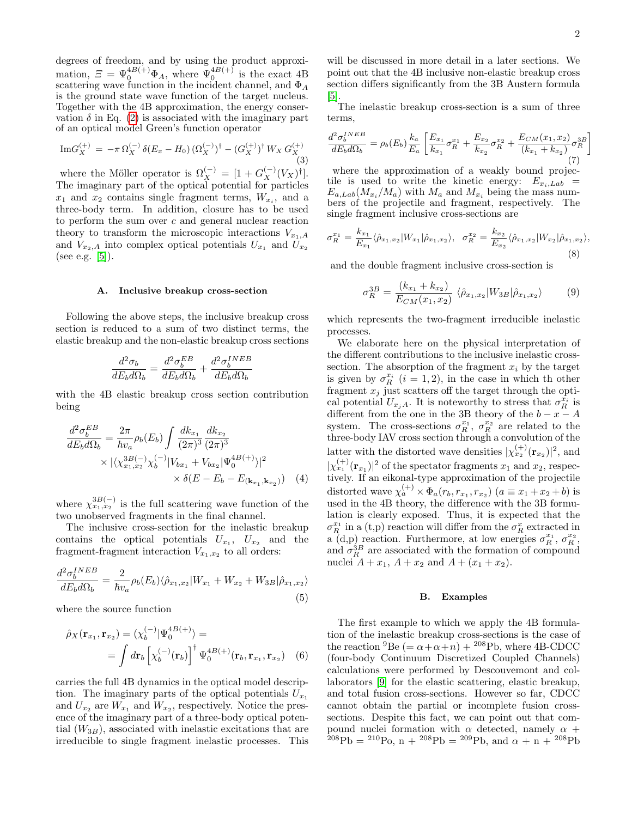degrees of freedom, and by using the product approximation,  $\mathcal{Z} = \Psi_0^{4B(+)} \Phi_A$ , where  $\Psi_0^{4B(+)}$  is the exact 4B scattering wave function in the incident channel, and  $\Phi_A$ is the ground state wave function of the target nucleus. Together with the 4B approximation, the energy conservation  $\delta$  in Eq. [\(2\)](#page-0-0) is associated with the imaginary part of an optical model Green's function operator

$$
\mathrm{Im} G_X^{(+)} = -\pi \,\Omega_X^{(-)} \,\delta(E_x - H_0) \, (\Omega_X^{(-)})^\dagger - (G_X^{(+)})^\dagger \, W_X \, G_X^{(+)} \tag{3}
$$

where the Möller operator is  $\Omega_X^{(-)} = [1 + G_X^{(-)}(V_X)^{\dagger}].$ The imaginary part of the optical potential for particles  $x_1$  and  $x_2$  contains single fragment terms,  $W_{x_i}$ , and a three-body term. In addition, closure has to be used to perform the sum over c and general nuclear reaction theory to transform the microscopic interactions  $V_{x_1,A}$ and  $V_{x_2,A}$  into complex optical potentials  $U_{x_1}$  and  $U_{x_2}$ (see e.g.  $[5]$ ).

#### A. Inclusive breakup cross-section

Following the above steps, the inclusive breakup cross section is reduced to a sum of two distinct terms, the elastic breakup and the non-elastic breakup cross sections

<span id="page-1-1"></span>
$$
\frac{d^2\sigma_b}{dE_b d\Omega_b} = \frac{d^2\sigma_b^{EB}}{dE_b d\Omega_b} + \frac{d^2\sigma_b^{INEB}}{dE_b d\Omega_b}
$$

with the 4B elastic breakup cross section contribution being

$$
\frac{d^2 \sigma_b^{EB}}{dE_b d\Omega_b} = \frac{2\pi}{\hbar v_a} \rho_b(E_b) \int \frac{dk_{x_1}}{(2\pi)^3} \frac{dk_{x_2}}{(2\pi)^3} \times |\langle \chi_{x_1, x_2}^{3B(-)} \chi_b^{(-)} | V_{bx_1} + V_{bx_2} | \Psi_0^{4B(+)} \rangle|^2 \times \delta(E - E_b - E_{(\mathbf{k}_{x_1}, \mathbf{k}_{x_2})})
$$
(4)

where  $\chi_{x_1,x_2}^{3B(-)}$  is the full scattering wave function of the two unobserved fragments in the final channel.

The inclusive cross-section for the inelastic breakup contains the optical potentials  $U_{x_1}$ ,  $U_{x_2}$  and the fragment-fragment interaction  $V_{x_1,x_2}$  to all orders:

<span id="page-1-2"></span>
$$
\frac{d^2\sigma_b^{INEB}}{dE_b d\Omega_b} = \frac{2}{\hbar v_a} \rho_b(E_b) \langle \hat{\rho}_{x_1, x_2} | W_{x_1} + W_{x_2} + W_{3B} | \hat{\rho}_{x_1, x_2} \rangle
$$
\n(5)

where the source function

$$
\hat{\rho}_X(\mathbf{r}_{x_1}, \mathbf{r}_{x_2}) = (\chi_b^{(-)} | \Psi_0^{AB(+)} \rangle =
$$
  
= 
$$
\int d\mathbf{r}_b \left[ \chi_b^{(-)}(\mathbf{r}_b) \right]^\dagger \Psi_0^{AB(+)}(\mathbf{r}_b, \mathbf{r}_{x_1}, \mathbf{r}_{x_2})
$$
 (6)

carries the full 4B dynamics in the optical model description. The imaginary parts of the optical potentials  $U_{x_1}$ and  $U_{x_2}$  are  $W_{x_1}$  and  $W_{x_2}$ , respectively. Notice the presence of the imaginary part of a three-body optical potential  $(W_{3B})$ , associated with inelastic excitations that are irreducible to single fragment inelastic processes. This

will be discussed in more detail in a later sections. We point out that the 4B inclusive non-elastic breakup cross section differs significantly from the 3B Austern formula [\[5\]](#page-6-4).

The inelastic breakup cross-section is a sum of three terms,

$$
\frac{d^2 \sigma_b^{INEB}}{dE_b d\Omega_b} = \rho_b(E_b) \frac{k_a}{E_a} \left[ \frac{E_{x_1}}{k_{x_1}} \sigma_R^{x_1} + \frac{E_{x_2}}{k_{x_2}} \sigma_R^{x_2} + \frac{E_{CM}(x_1, x_2)}{(k_{x_1} + k_{x_2})} \sigma_R^{3B} \right]
$$
\n(7)

where the approximation of a weakly bound projectile is used to write the kinetic energy:  $E_{x_i,Lab}$  =  $E_{a,Lab}(M_{x_i}/M_a)$  with  $M_a$  and  $M_{x_i}$  being the mass numbers of the projectile and fragment, respectively. The single fragment inclusive cross-sections are

$$
\sigma_R^{x_1} = \frac{k_{x_1}}{E_{x_1}} \langle \hat{\rho}_{x_1, x_2} | W_{x_1} | \hat{\rho}_{x_1, x_2} \rangle, \quad \sigma_R^{x_2} = \frac{k_{x_2}}{E_{x_2}} \langle \hat{\rho}_{x_1, x_2} | W_{x_2} | \hat{\rho}_{x_1, x_2} \rangle,
$$
\n(8)

and the double fragment inclusive cross-section is

<span id="page-1-0"></span>
$$
\sigma_R^{3B} = \frac{(k_{x_1} + k_{x_2})}{E_{CM}(x_1, x_2)} \langle \hat{\rho}_{x_1, x_2} | W_{3B} | \hat{\rho}_{x_1, x_2} \rangle \tag{9}
$$

which represents the two-fragment irreducible inelastic processes.

We elaborate here on the physical interpretation of the different contributions to the inclusive inelastic crosssection. The absorption of the fragment  $x_i$  by the target is given by  $\sigma_R^{x_i}$   $(i = 1, 2)$ , in the case in which th other fragment  $x_j$  just scatters off the target through the optical potential  $U_{x_jA}$ . It is noteworthy to stress that  $\sigma_R^{\bar{x}_i}$  is different from the one in the 3B theory of the  $b - x - A$ system. The cross-sections  $\sigma_R^{x_1}$ ,  $\sigma_R^{x_2}$  are related to the three-body IAV cross section through a convolution of the latter with the distorted wave densities  $|\chi_{x_2}^{(+)}(\mathbf{r}_{x_2})|^2$ , and  $|\chi_{x_1}^{(+)}(\mathbf{r}_{x_1})|^2$  of the spectator fragments  $x_1$  and  $x_2$ , respectively. If an eikonal-type approximation of the projectile distorted wave  $\chi_a^{(+)} \times \Phi_a(r_b, r_{x_1}, r_{x_2})$   $(a \equiv x_1 + x_2 + b)$  is used in the 4B theory, the difference with the 3B formulation is clearly exposed. Thus, it is expected that the  $\sigma_R^{x_1}$  in a (t,p) reaction will differ from the  $\sigma_R^x$  extracted in  $\alpha$  (d,p) reaction. Furthermore, at low energies  $\sigma_R^{x_1}$ ,  $\sigma_R^{x_2}$ , and  $\sigma_R^{3B}$  are associated with the formation of compound nuclei  $A + x_1$ ,  $A + x_2$  and  $A + (x_1 + x_2)$ .

# B. Examples

The first example to which we apply the 4B formulation of the inelastic breakup cross-sections is the case of the reaction  ${}^{9}$ Be (=  $\alpha + \alpha + n$ ) +  ${}^{208}$ Pb, where 4B-CDCC (four-body Continuum Discretized Coupled Channels) calculations were performed by Descouvemont and collaborators [\[9\]](#page-6-8) for the elastic scattering, elastic breakup, and total fusion cross-sections. However so far, CDCC cannot obtain the partial or incomplete fusion crosssections. Despite this fact, we can point out that compound nuclei formation with  $\alpha$  detected, namely  $\alpha$  +  $^{208}Pb = ^{210}Po$ , n +  $^{208}Pb = ^{209}Pb$ , and  $\alpha + n + ^{208}Pb$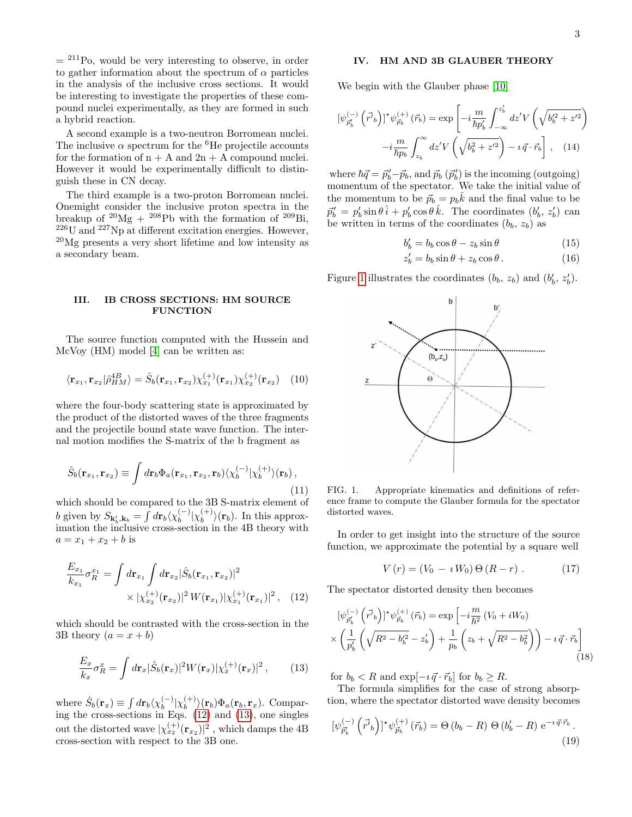$=$  <sup>211</sup>Po, would be very interesting to observe, in order to gather information about the spectrum of  $\alpha$  particles in the analysis of the inclusive cross sections. It would be interesting to investigate the properties of these compound nuclei experimentally, as they are formed in such a hybrid reaction.

A second example is a two-neutron Borromean nuclei. The inclusive  $\alpha$  spectrum for the <sup>6</sup>He projectile accounts for the formation of  $n + A$  and  $2n + A$  compound nuclei. However it would be experimentally difficult to distinguish these in CN decay.

The third example is a two-proton Borromean nuclei. Onemight consider the inclusive proton spectra in the breakup of  $^{20}Mg + ^{208}Pb$  with the formation of  $^{209}Bi$ , <sup>226</sup>U and <sup>227</sup>Np at different excitation energies. However, <sup>20</sup>Mg presents a very short lifetime and low intensity as a secondary beam.

# III. IB CROSS SECTIONS: HM SOURCE **FUNCTION**

The source function computed with the Hussein and McVoy (HM) model [\[4\]](#page-6-3) can be written as:

$$
\langle \mathbf{r}_{x_1}, \mathbf{r}_{x_2} | \hat{\rho}_{HM}^{4B} \rangle = \hat{S}_b(\mathbf{r}_{x_1}, \mathbf{r}_{x_2}) \chi_{x_1}^{(+)}(\mathbf{r}_{x_1}) \chi_{x_2}^{(+)}(\mathbf{r}_{x_2}) \quad (10)
$$

where the four-body scattering state is approximated by the product of the distorted waves of the three fragments and the projectile bound state wave function. The internal motion modifies the S-matrix of the b fragment as

$$
\hat{S}_b(\mathbf{r}_{x_1}, \mathbf{r}_{x_2}) \equiv \int d\mathbf{r}_b \Phi_a(\mathbf{r}_{x_1}, \mathbf{r}_{x_2}, \mathbf{r}_b) \langle \chi_b^{(-)} | \chi_b^{(+)} \rangle(\mathbf{r}_b), \tag{11}
$$

which should be compared to the 3B S-matrix element of b given by  $S_{\mathbf{k}'_b, \mathbf{k}_b} = \int d\mathbf{r}_b \langle \chi_b^{(-)} \rangle$  $_{b}^{(-)}|\chi_{b}^{(+)}$  $\langle b^{(+)} \rangle(\mathbf{r}_b)$ . In this approximation the inclusive cross-section in the 4B theory with  $a = x_1 + x_2 + b$  is

$$
\frac{E_{x_1}}{k_{x_1}} \sigma_R^{x_1} = \int d\mathbf{r}_{x_1} \int d\mathbf{r}_{x_2} |\hat{S}_b(\mathbf{r}_{x_1}, \mathbf{r}_{x_2})|^2 \times |\chi_{x_2}^{(+)}(\mathbf{r}_{x_2})|^2 W(\mathbf{r}_{x_1}) |\chi_{x_1}^{(+)}(\mathbf{r}_{x_1})|^2 , \quad (12)
$$

which should be contrasted with the cross-section in the 3B theory  $(a = x + b)$ 

<span id="page-2-1"></span>
$$
\frac{E_x}{k_x}\sigma_R^x = \int d\mathbf{r}_x |\hat{S}_b(\mathbf{r}_x)|^2 W(\mathbf{r}_x) |\chi_x^{(+)}(\mathbf{r}_x)|^2 ,\qquad(13)
$$

where  $\hat{S}_b(\mathbf{r}_x) \equiv \int d\mathbf{r}_b \langle \chi_b^{(-)} \rangle$  $_{b}^{(-)}|\chi_{b}^{(+)}$  $\langle b^{(+)} \rangle (\mathbf{r}_b) \Phi_a(\mathbf{r}_b, \mathbf{r}_x)$ . Comparing the cross-sections in Eqs. [\(12\)](#page-2-0) and [\(13\)](#page-2-1), one singles out the distorted wave  $|\chi_{x_2}^{(+)}(\mathbf{r}_{x_2})|^2$  , which damps the 4B cross-section with respect to the 3B one.

# IV. HM AND 3B GLAUBER THEORY

We begin with the Glauber phase [\[10\]](#page-6-9)

$$
[\psi_{\vec{p}_b'}^{(-)}\left(\vec{r'}_b\right)]^* \psi_{\vec{p}_b}^{(+)}\left(\vec{r}_b\right) = \exp\left[-i\frac{m}{\hbar p_b'} \int_{-\infty}^{z_b'} dz' V\left(\sqrt{b_b'^2 + z'^2}\right) -i\frac{m}{\hbar p_b} \int_{z_b}^{\infty} dz' V\left(\sqrt{b_b^2 + z'^2}\right) -i\vec{q} \cdot \vec{r}_b\right], \quad (14)
$$

where  $\hbar \vec{q} = \vec{p}_b' - \vec{p}_b$ , and  $\vec{p}_b$  ( $\vec{p}_b'$ ) is the incoming (outgoing) momentum of the spectator. We take the initial value of the momentum to be  $\vec{p}_b = p_b \hat{k}$  and the final value to be  $\vec{p}'_b = p'_b \sin \theta \,\hat{i} + p'_b \cos \theta \,\hat{k}$ . The coordinates  $(b'_b, z'_b)$  can be written in terms of the coordinates  $(b_b, z_b)$  as

$$
b'_b = b_b \cos \theta - z_b \sin \theta \tag{15}
$$

$$
z_b' = b_b \sin \theta + z_b \cos \theta. \tag{16}
$$

Figure [1](#page-2-2) illustrates the coordinates  $(b_b, z_b)$  and  $(b'_b, z'_b)$ .



<span id="page-2-2"></span>FIG. 1. Appropriate kinematics and definitions of reference frame to compute the Glauber formula for the spectator distorted waves.

In order to get insight into the structure of the source function, we approximate the potential by a square well

$$
V(r) = (V_0 - i W_0) \Theta(R - r) . \qquad (17)
$$

<span id="page-2-0"></span>The spectator distorted density then becomes

$$
[\psi_{\vec{p}'_b}^{(-)} (\vec{r'}_b)]^* \psi_{\vec{p}_b}^{(+)} (\vec{r}_b) = \exp \left[ -i \frac{m}{\hbar^2} (V_0 + i W_0) \times \left( \frac{1}{p'_b} \left( \sqrt{R^2 - b_b'^2} - z'_b \right) + \frac{1}{p_b} \left( z_b + \sqrt{R^2 - b_b^2} \right) \right) - i \vec{q} \cdot \vec{r}_b \right]
$$
\n(18)

for  $b_b < R$  and  $\exp[-i \vec{q} \cdot \vec{r}_b]$  for  $b_b \geq R$ .

The formula simplifies for the case of strong absorption, where the spectator distorted wave density becomes

$$
[\psi_{\vec{p}'_b}^{(-)}(\vec{r'}_b)]^* \psi_{\vec{p}_b}^{(+)}(\vec{r}_b) = \Theta(b_b - R) \Theta(b'_b - R) e^{-i \vec{q} \cdot \vec{r}_b}.
$$
\n(19)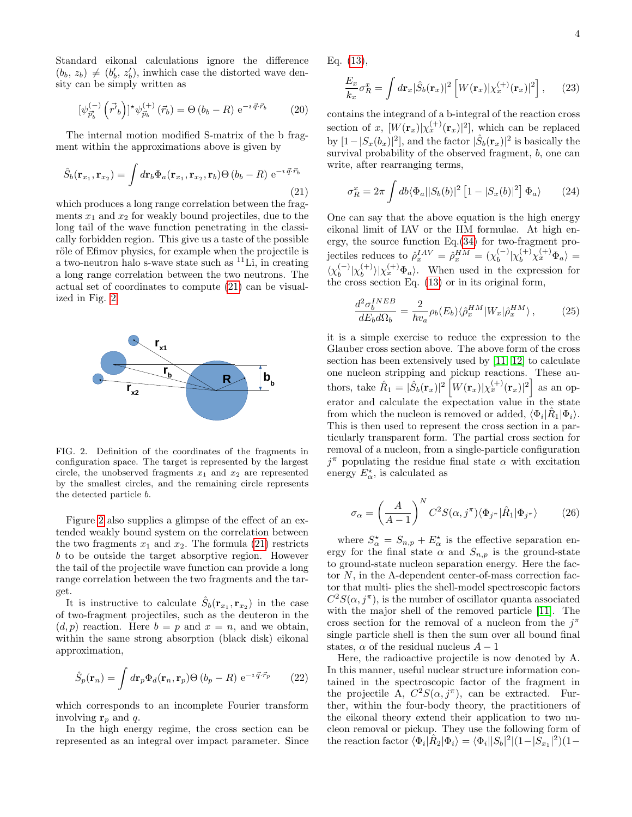Standard eikonal calculations ignore the difference  $(b_b, z_b) \neq (b'_b, z'_b)$ , inwhich case the distorted wave density can be simply written as

$$
[\psi_{\vec{p}_b'}^{(-)}(\vec{r}_b)]^* \psi_{\vec{p}_b}^{(+)}(\vec{r}_b) = \Theta(b_b - R) e^{-i \vec{q} \cdot \vec{r}_b}
$$
 (20)

The internal motion modified S-matrix of the b fragment within the approximations above is given by

<span id="page-3-0"></span>
$$
\hat{S}_b(\mathbf{r}_{x_1}, \mathbf{r}_{x_2}) = \int d\mathbf{r}_b \Phi_a(\mathbf{r}_{x_1}, \mathbf{r}_{x_2}, \mathbf{r}_b) \Theta(b_b - R) e^{-i \vec{q} \cdot \vec{r}_b}
$$
\n(21)

which produces a long range correlation between the fragments  $x_1$  and  $x_2$  for weakly bound projectiles, due to the long tail of the wave function penetrating in the classically forbidden region. This give us a taste of the possible röle of Efimov physics, for example when the projectile is a two-neutron halo s-wave state such as  ${}^{11}$ Li, in creating a long range correlation between the two neutrons. The actual set of coordinates to compute [\(21\)](#page-3-0) can be visualized in Fig. [2.](#page-3-1)



<span id="page-3-1"></span>FIG. 2. Definition of the coordinates of the fragments in configuration space. The target is represented by the largest circle, the unobserved fragments  $x_1$  and  $x_2$  are represented by the smallest circles, and the remaining circle represents the detected particle b.

Figure [2](#page-3-1) also supplies a glimpse of the effect of an extended weakly bound system on the correlation between the two fragments  $x_1$  and  $x_2$ . The formula [\(21\)](#page-3-0) restricts b to be outside the target absorptive region. However the tail of the projectile wave function can provide a long range correlation between the two fragments and the target.

It is instructive to calculate  $\hat{S}_b(\mathbf{r}_{x_1}, \mathbf{r}_{x_2})$  in the case of two-fragment projectiles, such as the deuteron in the  $(d, p)$  reaction. Here  $b = p$  and  $x = n$ , and we obtain, within the same strong absorption (black disk) eikonal approximation,

$$
\hat{S}_p(\mathbf{r}_n) = \int d\mathbf{r}_p \Phi_d(\mathbf{r}_n, \mathbf{r}_p) \Theta(b_p - R) e^{-i \vec{q} \cdot \vec{r}_p} \qquad (22)
$$

which corresponds to an incomplete Fourier transform involving  $r_p$  and q.

In the high energy regime, the cross section can be represented as an integral over impact parameter. Since Eq. [\(13\)](#page-2-1),

$$
\frac{E_x}{k_x}\sigma_R^x = \int d\mathbf{r}_x |\hat{S}_b(\mathbf{r}_x)|^2 \left[ W(\mathbf{r}_x) |\chi_x^{(+)}(\mathbf{r}_x)|^2 \right], \quad (23)
$$

contains the integrand of a b-integral of the reaction cross section of x,  $[W(\mathbf{r}_x)|\chi_x^{(+)}(\mathbf{r}_x)]^2]$ , which can be replaced by  $[1-|S_x(b_x)|^2]$ , and the factor  $|\hat{S}_b(\mathbf{r}_x)|^2$  is basically the survival probability of the observed fragment, b, one can write, after rearranging terms,

$$
\sigma_R^x = 2\pi \int db \langle \Phi_a ||S_b(b)|^2 [1 - |S_x(b)|^2] \Phi_a \rangle \qquad (24)
$$

One can say that the above equation is the high energy eikonal limit of IAV or the HM formulae. At high energy, the source function Eq.[\(34\)](#page-5-0) for two-fragment projectiles reduces to  $\hat{\rho}_x^{IAV} = \hat{\rho}_x^{HM} = (\chi_b^{(-)}$  $\int_b^{(-)} \lvert \chi_b^{(+)} \chi_x^{(+)} \Phi_a \rangle =$  $\langle \chi_{b}^{(-)}$  $_{b}^{(-)}|\chi_{b}^{(+)}$  $\langle b \rangle \langle \chi_x^{(+)} \Phi_a \rangle$ . When used in the expression for the cross section Eq. [\(13\)](#page-2-1) or in its original form,

$$
\frac{d^2 \sigma_b^{INEB}}{d E_b d \Omega_b} = \frac{2}{\hbar v_a} \rho_b(E_b) \langle \hat{\rho}_x^{HM} | W_x | \hat{\rho}_x^{HM} \rangle, \tag{25}
$$

it is a simple exercise to reduce the expression to the Glauber cross section above. The above form of the cross section has been extensively used by [\[11,](#page-6-10) [12\]](#page-6-11) to calculate one nucleon stripping and pickup reactions. These authors, take  $\hat{R}_1 = |\hat{S}_b(\mathbf{r}_x)|^2 \left[ W(\mathbf{r}_x) |\chi_x^{(+)}(\mathbf{r}_x)|^2 \right]$  as an operator and calculate the expectation value in the state from which the nucleon is removed or added,  $\langle \Phi_i | \hat{R}_1 | \Phi_i \rangle$ . This is then used to represent the cross section in a particularly transparent form. The partial cross section for removal of a nucleon, from a single-particle configuration  $j^{\pi}$  populating the residue final state  $\alpha$  with excitation energy  $E_{\alpha}^*$ , is calculated as

$$
\sigma_{\alpha} = \left(\frac{A}{A-1}\right)^N C^2 S(\alpha, j^{\pi}) \langle \Phi_{j^{\pi}} | \hat{R}_1 | \Phi_{j^{\pi}} \rangle \tag{26}
$$

where  $S^{\star}_{\alpha} = S_{n,p} + E^{\star}_{\alpha}$  is the effective separation energy for the final state  $\alpha$  and  $S_{n,p}$  is the ground-state to ground-state nucleon separation energy. Here the factor  $N$ , in the A-dependent center-of-mass correction factor that multi- plies the shell-model spectroscopic factors  $C^2S(\alpha, j^{\pi})$ , is the number of oscillator quanta associated with the major shell of the removed particle [\[11\]](#page-6-10). The cross section for the removal of a nucleon from the  $j^{\pi}$ single particle shell is then the sum over all bound final states,  $\alpha$  of the residual nucleus  $A - 1$ 

Here, the radioactive projectile is now denoted by A. In this manner, useful nuclear structure information contained in the spectroscopic factor of the fragment in the projectile A,  $C^2S(\alpha, j^{\pi})$ , can be extracted. Further, within the four-body theory, the practitioners of the eikonal theory extend their application to two nucleon removal or pickup. They use the following form of the reaction factor  $\langle \Phi_i | \hat{R}_2 | \Phi_i \rangle = \langle \Phi_i | |S_b|^2 | (1 - |S_{x_1}|^2)(1 -$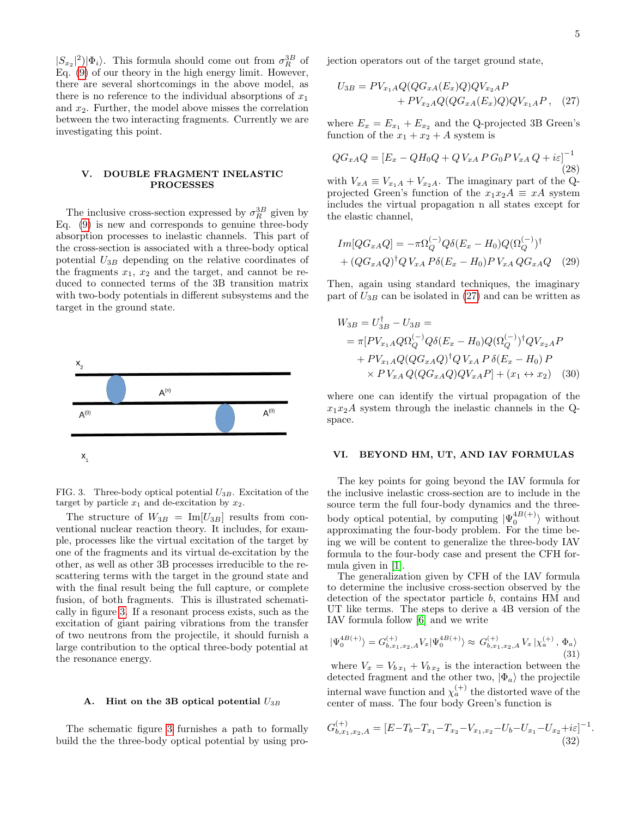$|S_{x_2}|^2$  $|\Phi_i\rangle$ . This formula should come out from  $\sigma_R^{3B}$  of Eq. [\(9\)](#page-1-0) of our theory in the high energy limit. However, there are several shortcomings in the above model, as there is no reference to the individual absorptions of  $x_1$ and  $x_2$ . Further, the model above misses the correlation between the two interacting fragments. Currently we are investigating this point.

## V. DOUBLE FRAGMENT INELASTIC PROCESSES

The inclusive cross-section expressed by  $\sigma_R^{3B}$  given by Eq.  $(9)$  is new and corresponds to genuine three-body absorption processes to inelastic channels. This part of the cross-section is associated with a three-body optical potential  $U_{3B}$  depending on the relative coordinates of the fragments  $x_1, x_2$  and the target, and cannot be reduced to connected terms of the 3B transition matrix with two-body potentials in different subsystems and the target in the ground state.



<span id="page-4-0"></span>FIG. 3. Three-body optical potential  $U_{3B}$ . Excitation of the target by particle  $x_1$  and de-excitation by  $x_2$ .

The structure of  $W_{3B} = \text{Im}[U_{3B}]$  results from conventional nuclear reaction theory. It includes, for example, processes like the virtual excitation of the target by one of the fragments and its virtual de-excitation by the other, as well as other 3B processes irreducible to the rescattering terms with the target in the ground state and with the final result being the full capture, or complete fusion, of both fragments. This is illustrated schematically in figure [3.](#page-4-0) If a resonant process exists, such as the excitation of giant pairing vibrations from the transfer of two neutrons from the projectile, it should furnish a large contribution to the optical three-body potential at the resonance energy.

#### A. Hint on the 3B optical potential  $U_{3B}$

The schematic figure [3](#page-4-0) furnishes a path to formally build the the three-body optical potential by using projection operators out of the target ground state,

<span id="page-4-1"></span>
$$
U_{3B} = PV_{x_1A}Q(QG_{xA}(E_x)Q)QV_{x_2A}P
$$
  
+ 
$$
PV_{x_2A}Q(QG_{xA}(E_x)Q)QV_{x_1A}P, (27)
$$

where  $E_x = E_{x_1} + E_{x_2}$  and the Q-projected 3B Green's function of the  $x_1 + x_2 + A$  system is

$$
QG_{xA}Q = [E_x - QH_0Q + QV_{xA}P G_0P V_{xA} Q + i\varepsilon]^{-1}
$$
\n(28)

with  $V_{xA} \equiv V_{x_1A} + V_{x_2A}$ . The imaginary part of the Qprojected Green's function of the  $x_1x_2A \equiv xA$  system includes the virtual propagation n all states except for the elastic channel,

$$
Im[QG_{xA}Q] = -\pi \Omega_Q^{(-)} Q \delta(E_x - H_0) Q (\Omega_Q^{(-)})^{\dagger}
$$
  
+ 
$$
(QG_{xA}Q)^{\dagger} Q V_{xA} P \delta(E_x - H_0) P V_{xA} Q G_{xA} Q
$$
 (29)

Then, again using standard techniques, the imaginary part of  $U_{3B}$  can be isolated in [\(27\)](#page-4-1) and can be written as

$$
W_{3B} = U_{3B}^{\dagger} - U_{3B} =
$$
  
=  $\pi [PV_{x_1A}Q\Omega_Q^{(-)}Q\delta(E_x - H_0)Q(\Omega_Q^{(-)})^{\dagger}QV_{x_2A}P$   
+  $PV_{x_1A}Q(QG_{xA}Q)^{\dagger}QV_{xA}P\delta(E_x - H_0)P$   
×  $PV_{xA}Q(QG_{xA}Q)QV_{xA}P$ ] +  $(x_1 \leftrightarrow x_2)$  (30)

where one can identify the virtual propagation of the  $x_1x_2A$  system through the inelastic channels in the Qspace.

## VI. BEYOND HM, UT, AND IAV FORMULAS

The key points for going beyond the IAV formula for the inclusive inelastic cross-section are to include in the source term the full four-body dynamics and the threebody optical potential, by computing  $|\Psi_0^{4B(+)}\rangle$  without approximating the four-body problem. For the time being we will be content to generalize the three-body IAV formula to the four-body case and present the CFH formula given in [\[1\]](#page-6-0).

The generalization given by CFH of the IAV formula to determine the inclusive cross-section observed by the detection of the spectator particle b, contains HM and UT like terms. The steps to derive a 4B version of the IAV formula follow [\[6\]](#page-6-5) and we write

$$
|\Psi_0^{4B(+)}\rangle = G_{b,x_1,x_2,A}^{(+)} V_x | \Psi_0^{4B(+)}\rangle \approx G_{b,x_1,x_2,A}^{(+)} V_x | \chi_a^{(+)} , \Phi_a \rangle
$$
\n(31)

where  $V_x = V_{b x_1} + V_{b x_2}$  is the interaction between the detected fragment and the other two,  $|\Phi_a\rangle$  the projectile internal wave function and  $\chi_a^{(+)}$  the distorted wave of the center of mass. The four body Green's function is

$$
G_{b,x_1,x_2,A}^{(+)} = [E - T_b - T_{x_1} - T_{x_2} - V_{x_1,x_2} - U_b - U_{x_1} - U_{x_2} + i\varepsilon]^{-1}
$$
\n(32)

.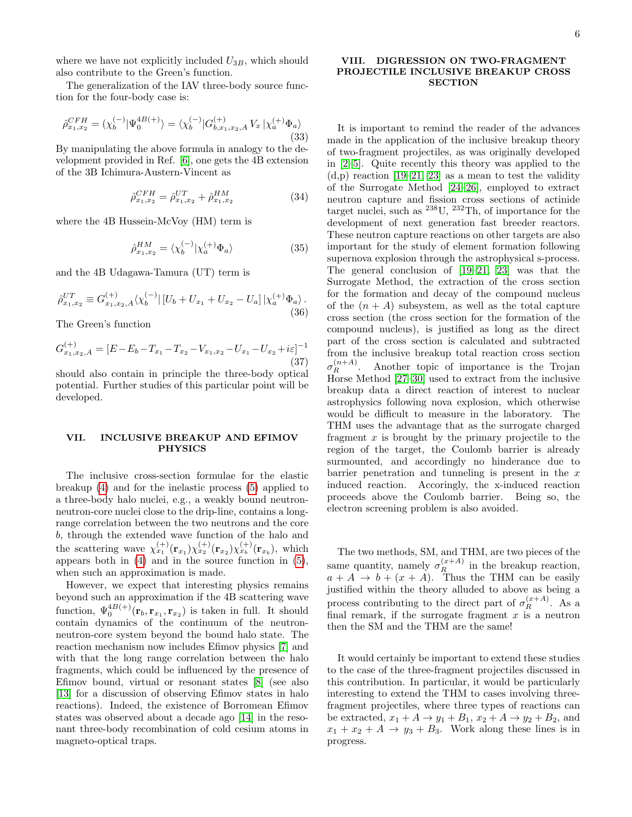where we have not explicitly included  $U_{3B}$ , which should also contribute to the Green's function.

The generalization of the IAV three-body source function for the four-body case is:

<span id="page-5-1"></span>
$$
\hat{\rho}_{x_1, x_2}^{CFH} = (\chi_b^{(-)} | \Psi_0^{AB(+)} \rangle = \langle \chi_b^{(-)} | G_{b, x_1, x_2, A}^{(+)} V_x | \chi_a^{(+)} \Phi_a \rangle
$$
\n(33)

By manipulating the above formula in analogy to the development provided in Ref. [\[6\]](#page-6-5), one gets the 4B extension of the 3B Ichimura-Austern-Vincent as

<span id="page-5-0"></span>
$$
\hat{\rho}_{x_1, x_2}^{CFH} = \hat{\rho}_{x_1, x_2}^{UT} + \hat{\rho}_{x_1, x_2}^{HM} \tag{34}
$$

where the 4B Hussein-McVoy (HM) term is

$$
\hat{\rho}_{x_1, x_2}^{HM} = \langle \chi_b^{(-)} | \chi_a^{(+)} \Phi_a \rangle \tag{35}
$$

and the 4B Udagawa-Tamura (UT) term is

$$
\hat{\rho}_{x_1, x_2}^{UT} \equiv G_{x_1, x_2, A}^{(+)} \langle \chi_b^{(-)} | [U_b + U_{x_1} + U_{x_2} - U_a] | \chi_a^{(+)} \Phi_a \rangle. \tag{36}
$$

The Green's function

$$
G_{x_1,x_2,A}^{(+)} = [E - E_b - T_{x_1} - T_{x_2} - V_{x_1,x_2} - U_{x_1} - U_{x_2} + i\varepsilon]^{-1}
$$
\n(37)

should also contain in principle the three-body optical potential. Further studies of this particular point will be developed.

# VII. INCLUSIVE BREAKUP AND EFIMOV PHYSICS

The inclusive cross-section formulae for the elastic breakup [\(4\)](#page-1-1) and for the inelastic process [\(5\)](#page-1-2) applied to a three-body halo nuclei, e.g., a weakly bound neutronneutron-core nuclei close to the drip-line, contains a longrange correlation between the two neutrons and the core b, through the extended wave function of the halo and the scattering wave  $\chi_{x_1}^{(+)}(\mathbf{r}_{x_1})\chi_{x_2}^{(+)}(\mathbf{r}_{x_2})\chi_{x_b}^{(+)}(\mathbf{r}_{x_b})$ , which appears both in [\(4\)](#page-1-1) and in the source function in [\(5\)](#page-1-2), when such an approximation is made.

However, we expect that interesting physics remains beyond such an approximation if the 4B scattering wave function,  $\Psi_0^{4B(+)}(\mathbf{r}_b, \mathbf{r}_{x_1}, \mathbf{r}_{x_2})$  is taken in full. It should contain dynamics of the continuum of the neutronneutron-core system beyond the bound halo state. The reaction mechanism now includes Efimov physics [\[7\]](#page-6-6) and with that the long range correlation between the halo fragments, which could be influenced by the presence of Efimov bound, virtual or resonant states [\[8\]](#page-6-7) (see also [\[13\]](#page-6-12) for a discussion of observing Efimov states in halo reactions). Indeed, the existence of Borromean Efimov states was observed about a decade ago [\[14\]](#page-6-13) in the resonant three-body recombination of cold cesium atoms in magneto-optical traps.

# VIII. DIGRESSION ON TWO-FRAGMENT PROJECTILE INCLUSIVE BREAKUP CROSS **SECTION**

It is important to remind the reader of the advances made in the application of the inclusive breakup theory of two-fragment projectiles, as was originally developed in [\[2](#page-6-1)[–5\]](#page-6-4). Quite recently this theory was applied to the  $(d,p)$  reaction [\[19–](#page-6-14)[21,](#page-6-15) [23\]](#page-6-16) as a mean to test the validity of the Surrogate Method [\[24–](#page-7-0)[26\]](#page-7-1), employed to extract neutron capture and fission cross sections of actinide target nuclei, such as <sup>238</sup>U, <sup>232</sup>Th, of importance for the development of next generation fast breeder reactors. These neutron capture reactions on other targets are also important for the study of element formation following supernova explosion through the astrophysical s-process. The general conclusion of [\[19](#page-6-14)[–21,](#page-6-15) [23\]](#page-6-16) was that the Surrogate Method, the extraction of the cross section for the formation and decay of the compound nucleus of the  $(n + A)$  subsystem, as well as the total capture cross section (the cross section for the formation of the compound nucleus), is justified as long as the direct part of the cross section is calculated and subtracted from the inclusive breakup total reaction cross section  $\sigma_R^{(n+A)}$ Another topic of importance is the Trojan Horse Method [\[27–](#page-7-2)[30\]](#page-7-3) used to extract from the inclusive breakup data a direct reaction of interest to nuclear astrophysics following nova explosion, which otherwise would be difficult to measure in the laboratory. The THM uses the advantage that as the surrogate charged fragment  $x$  is brought by the primary projectile to the region of the target, the Coulomb barrier is already surmounted, and accordingly no hinderance due to barrier penetration and tunneling is present in the  $x$ induced reaction. Accoringly, the x-induced reaction proceeds above the Coulomb barrier. Being so, the electron screening problem is also avoided.

The two methods, SM, and THM, are two pieces of the same quantity, namely  $\sigma_R^{(x+A)}$  in the breakup reaction,  $a + A \rightarrow b + (x + A)$ . Thus the THM can be easily justified within the theory alluded to above as being a process contributing to the direct part of  $\sigma_R^{(x+A)}$ . As a final remark, if the surrogate fragment  $x$  is a neutron then the SM and the THM are the same!

It would certainly be important to extend these studies to the case of the three-fragment projectiles discussed in this contribution. In particular, it would be particularly interesting to extend the THM to cases involving threefragment projectiles, where three types of reactions can be extracted,  $x_1 + A \rightarrow y_1 + B_1$ ,  $x_2 + A \rightarrow y_2 + B_2$ , and  $x_1 + x_2 + A \rightarrow y_3 + B_3$ . Work along these lines is in progress.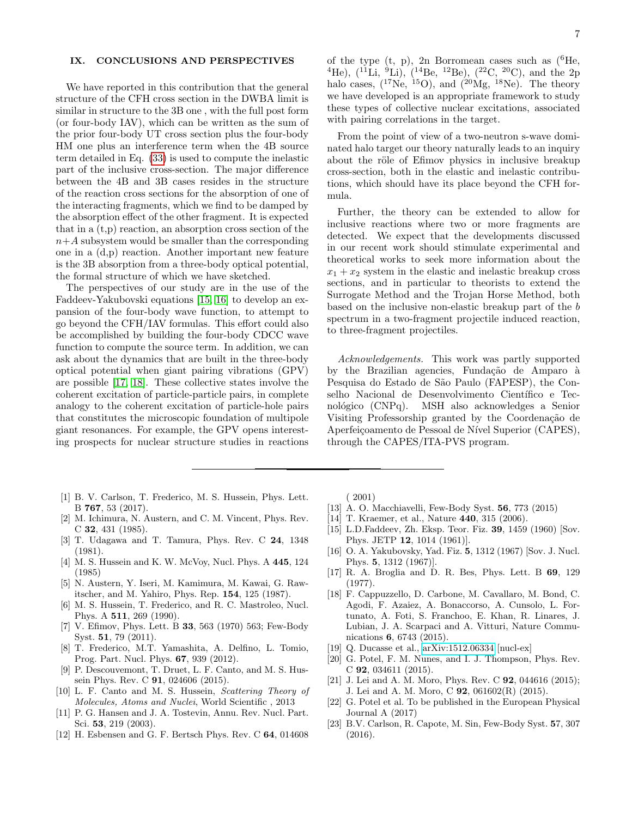# IX. CONCLUSIONS AND PERSPECTIVES

We have reported in this contribution that the general structure of the CFH cross section in the DWBA limit is similar in structure to the 3B one , with the full post form (or four-body IAV), which can be written as the sum of the prior four-body UT cross section plus the four-body HM one plus an interference term when the 4B source term detailed in Eq. [\(33\)](#page-5-1) is used to compute the inelastic part of the inclusive cross-section. The major difference between the 4B and 3B cases resides in the structure of the reaction cross sections for the absorption of one of the interacting fragments, which we find to be damped by the absorption effect of the other fragment. It is expected that in a (t,p) reaction, an absorption cross section of the  $n+A$  subsystem would be smaller than the corresponding one in a (d,p) reaction. Another important new feature is the 3B absorption from a three-body optical potential, the formal structure of which we have sketched.

The perspectives of our study are in the use of the Faddeev-Yakubovski equations [\[15,](#page-6-17) [16\]](#page-6-18) to develop an expansion of the four-body wave function, to attempt to go beyond the CFH/IAV formulas. This effort could also be accomplished by building the four-body CDCC wave function to compute the source term. In addition, we can ask about the dynamics that are built in the three-body optical potential when giant pairing vibrations (GPV) are possible [\[17,](#page-6-19) [18\]](#page-6-20). These collective states involve the coherent excitation of particle-particle pairs, in complete analogy to the coherent excitation of particle-hole pairs that constitutes the microscopic foundation of multipole giant resonances. For example, the GPV opens interesting prospects for nuclear structure studies in reactions

- <span id="page-6-0"></span>[1] B. V. Carlson, T. Frederico, M. S. Hussein, Phys. Lett. B 767, 53 (2017).
- <span id="page-6-1"></span>[2] M. Ichimura, N. Austern, and C. M. Vincent, Phys. Rev. C 32, 431 (1985).
- <span id="page-6-2"></span>[3] T. Udagawa and T. Tamura, Phys. Rev. C 24, 1348 (1981).
- <span id="page-6-3"></span>[4] M. S. Hussein and K. W. McVoy, Nucl. Phys. A 445, 124 (1985)
- <span id="page-6-4"></span>[5] N. Austern, Y. Iseri, M. Kamimura, M. Kawai, G. Rawitscher, and M. Yahiro, Phys. Rep. 154, 125 (1987).
- <span id="page-6-5"></span>[6] M. S. Hussein, T. Frederico, and R. C. Mastroleo, Nucl. Phys. A 511, 269 (1990).
- <span id="page-6-6"></span>[7] V. Efimov, Phys. Lett. B 33, 563 (1970) 563; Few-Body Syst. 51, 79 (2011).
- <span id="page-6-7"></span>[8] T. Frederico, M.T. Yamashita, A. Delfino, L. Tomio, Prog. Part. Nucl. Phys. 67, 939 (2012).
- <span id="page-6-8"></span>[9] P. Descouvemont, T. Druet, L. F. Canto, and M. S. Hussein Phys. Rev. C **91**, 024606 (2015).
- <span id="page-6-9"></span>[10] L. F. Canto and M. S. Hussein, Scattering Theory of Molecules, Atoms and Nuclei, World Scientific , 2013
- <span id="page-6-10"></span>[11] P. G. Hansen and J. A. Tostevin, Annu. Rev. Nucl. Part. Sci. 53, 219 (2003).
- <span id="page-6-11"></span>[12] H. Esbensen and G. F. Bertsch Phys. Rev. C 64, 014608

of the type  $(t, p)$ , 2n Borromean cases such as  $(^{6}He,$ <sup>4</sup>He),  $(^{11}Li, {}^{9}Li)$ ,  $(^{14}Be, {}^{12}Be)$ ,  $(^{22}C, {}^{20}C)$ , and the 2p halo cases,  $(^{17}Ne,~^{15}O)$ , and  $(^{20}Mg,~^{18}Ne)$ . The theory we have developed is an appropriate framework to study these types of collective nuclear excitations, associated with pairing correlations in the target.

From the point of view of a two-neutron s-wave dominated halo target our theory naturally leads to an inquiry about the röle of Efimov physics in inclusive breakup cross-section, both in the elastic and inelastic contributions, which should have its place beyond the CFH formula.

Further, the theory can be extended to allow for inclusive reactions where two or more fragments are detected. We expect that the developments discussed in our recent work should stimulate experimental and theoretical works to seek more information about the  $x_1 + x_2$  system in the elastic and inelastic breakup cross sections, and in particular to theorists to extend the Surrogate Method and the Trojan Horse Method, both based on the inclusive non-elastic breakup part of the b spectrum in a two-fragment projectile induced reaction, to three-fragment projectiles.

Acknowledgements. This work was partly supported by the Brazilian agencies, Fundação de Amparo à Pesquisa do Estado de São Paulo (FAPESP), the Conselho Nacional de Desenvolvimento Científico e Tecnológico (CNPq). MSH also acknowledges a Senior Visiting Professorship granted by the Coordenação de Aperfeiçoamento de Pessoal de Nível Superior (CAPES), through the CAPES/ITA-PVS program.

( 2001)

- <span id="page-6-12"></span>[13] A. O. Macchiavelli, Few-Body Syst. 56, 773 (2015)
- <span id="page-6-13"></span>[14] T. Kraemer, et al., Nature 440, 315 (2006).
- <span id="page-6-17"></span>[15] L.D.Faddeev, Zh. Eksp. Teor. Fiz. 39, 1459 (1960) [Sov. Phys. JETP 12, 1014 (1961)].
- <span id="page-6-18"></span>[16] O. A. Yakubovsky, Yad. Fiz. 5, 1312 (1967) [Sov. J. Nucl. Phys. 5, 1312 (1967)].
- <span id="page-6-19"></span>[17] R. A. Broglia and D. R. Bes, Phys. Lett. B 69, 129 (1977).
- <span id="page-6-20"></span>[18] F. Cappuzzello, D. Carbone, M. Cavallaro, M. Bond, C. Agodi, F. Azaiez, A. Bonaccorso, A. Cunsolo, L. Fortunato, A. Foti, S. Franchoo, E. Khan, R. Linares, J. Lubian, J. A. Scarpaci and A. Vitturi, Nature Communications 6, 6743 (2015).
- <span id="page-6-14"></span>[19] Q. Ducasse et al., [arXiv:1512.06334](http://arxiv.org/abs/1512.06334) [nucl-ex]
- [20] G. Potel, F. M. Nunes, and I. J. Thompson, Phys. Rev. C 92, 034611 (2015).
- <span id="page-6-15"></span>[21] J. Lei and A. M. Moro, Phys. Rev. C **92**, 044616 (2015); J. Lei and A. M. Moro, C 92, 061602(R) (2015).
- [22] G. Potel et al. To be published in the European Physical Journal A (2017)
- <span id="page-6-16"></span>[23] B.V. Carlson, R. Capote, M. Sin, Few-Body Syst. 57, 307 (2016).